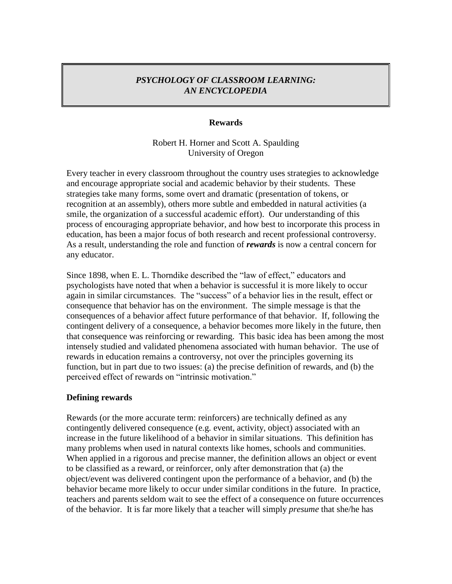# *PSYCHOLOGY OF CLASSROOM LEARNING: AN ENCYCLOPEDIA*

#### **Rewards**

Robert H. Horner and Scott A. Spaulding University of Oregon

Every teacher in every classroom throughout the country uses strategies to acknowledge and encourage appropriate social and academic behavior by their students. These strategies take many forms, some overt and dramatic (presentation of tokens, or recognition at an assembly), others more subtle and embedded in natural activities (a smile, the organization of a successful academic effort). Our understanding of this process of encouraging appropriate behavior, and how best to incorporate this process in education, has been a major focus of both research and recent professional controversy. As a result, understanding the role and function of *rewards* is now a central concern for any educator.

Since 1898, when E. L. Thorndike described the "law of effect," educators and psychologists have noted that when a behavior is successful it is more likely to occur again in similar circumstances. The "success" of a behavior lies in the result, effect or consequence that behavior has on the environment. The simple message is that the consequences of a behavior affect future performance of that behavior. If, following the contingent delivery of a consequence, a behavior becomes more likely in the future, then that consequence was reinforcing or rewarding. This basic idea has been among the most intensely studied and validated phenomena associated with human behavior. The use of rewards in education remains a controversy, not over the principles governing its function, but in part due to two issues: (a) the precise definition of rewards, and (b) the perceived effect of rewards on "intrinsic motivation."

## **Defining rewards**

Rewards (or the more accurate term: reinforcers) are technically defined as any contingently delivered consequence (e.g. event, activity, object) associated with an increase in the future likelihood of a behavior in similar situations. This definition has many problems when used in natural contexts like homes, schools and communities. When applied in a rigorous and precise manner, the definition allows an object or event to be classified as a reward, or reinforcer, only after demonstration that (a) the object/event was delivered contingent upon the performance of a behavior, and (b) the behavior became more likely to occur under similar conditions in the future. In practice, teachers and parents seldom wait to see the effect of a consequence on future occurrences of the behavior. It is far more likely that a teacher will simply *presume* that she/he has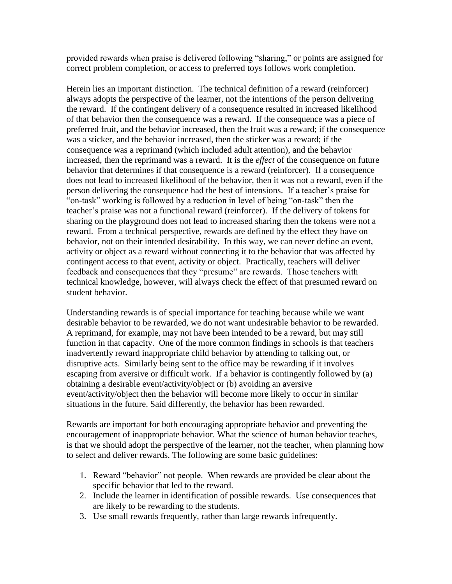provided rewards when praise is delivered following "sharing," or points are assigned for correct problem completion, or access to preferred toys follows work completion.

Herein lies an important distinction. The technical definition of a reward (reinforcer) always adopts the perspective of the learner, not the intentions of the person delivering the reward. If the contingent delivery of a consequence resulted in increased likelihood of that behavior then the consequence was a reward. If the consequence was a piece of preferred fruit, and the behavior increased, then the fruit was a reward; if the consequence was a sticker, and the behavior increased, then the sticker was a reward; if the consequence was a reprimand (which included adult attention), and the behavior increased, then the reprimand was a reward. It is the *effect* of the consequence on future behavior that determines if that consequence is a reward (reinforcer). If a consequence does not lead to increased likelihood of the behavior, then it was not a reward, even if the person delivering the consequence had the best of intensions. If a teacher's praise for "on-task" working is followed by a reduction in level of being "on-task" then the teacher's praise was not a functional reward (reinforcer). If the delivery of tokens for sharing on the playground does not lead to increased sharing then the tokens were not a reward. From a technical perspective, rewards are defined by the effect they have on behavior, not on their intended desirability. In this way, we can never define an event, activity or object as a reward without connecting it to the behavior that was affected by contingent access to that event, activity or object. Practically, teachers will deliver feedback and consequences that they "presume" are rewards. Those teachers with technical knowledge, however, will always check the effect of that presumed reward on student behavior.

Understanding rewards is of special importance for teaching because while we want desirable behavior to be rewarded, we do not want undesirable behavior to be rewarded. A reprimand, for example, may not have been intended to be a reward, but may still function in that capacity. One of the more common findings in schools is that teachers inadvertently reward inappropriate child behavior by attending to talking out, or disruptive acts. Similarly being sent to the office may be rewarding if it involves escaping from aversive or difficult work. If a behavior is contingently followed by (a) obtaining a desirable event/activity/object or (b) avoiding an aversive event/activity/object then the behavior will become more likely to occur in similar situations in the future. Said differently, the behavior has been rewarded.

Rewards are important for both encouraging appropriate behavior and preventing the encouragement of inappropriate behavior. What the science of human behavior teaches, is that we should adopt the perspective of the learner, not the teacher, when planning how to select and deliver rewards. The following are some basic guidelines:

- 1. Reward "behavior" not people. When rewards are provided be clear about the specific behavior that led to the reward.
- 2. Include the learner in identification of possible rewards. Use consequences that are likely to be rewarding to the students.
- 3. Use small rewards frequently, rather than large rewards infrequently.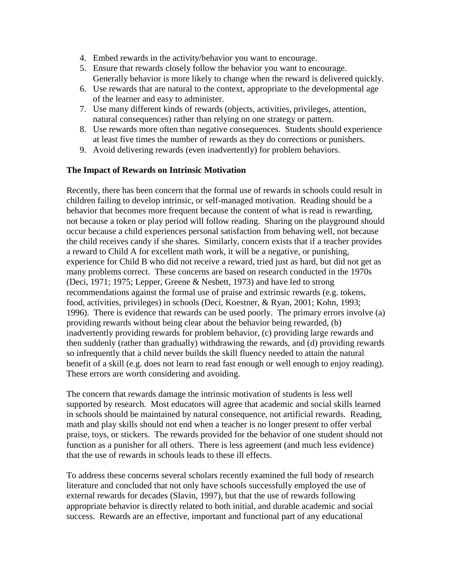- 4. Embed rewards in the activity/behavior you want to encourage.
- 5. Ensure that rewards closely follow the behavior you want to encourage. Generally behavior is more likely to change when the reward is delivered quickly.
- 6. Use rewards that are natural to the context, appropriate to the developmental age of the learner and easy to administer.
- 7. Use many different kinds of rewards (objects, activities, privileges, attention, natural consequences) rather than relying on one strategy or pattern.
- 8. Use rewards more often than negative consequences. Students should experience at least five times the number of rewards as they do corrections or punishers.
- 9. Avoid delivering rewards (even inadvertently) for problem behaviors.

## **The Impact of Rewards on Intrinsic Motivation**

Recently, there has been concern that the formal use of rewards in schools could result in children failing to develop intrinsic, or self-managed motivation. Reading should be a behavior that becomes more frequent because the content of what is read is rewarding, not because a token or play period will follow reading. Sharing on the playground should occur because a child experiences personal satisfaction from behaving well, not because the child receives candy if she shares. Similarly, concern exists that if a teacher provides a reward to Child A for excellent math work, it will be a negative, or punishing, experience for Child B who did not receive a reward, tried just as hard, but did not get as many problems correct. These concerns are based on research conducted in the 1970s (Deci, 1971; 1975; Lepper, Greene & Nesbett, 1973) and have led to strong recommendations against the formal use of praise and extrinsic rewards (e.g. tokens, food, activities, privileges) in schools (Deci, Koestner, & Ryan, 2001; Kohn, 1993; 1996). There is evidence that rewards can be used poorly. The primary errors involve (a) providing rewards without being clear about the behavior being rewarded, (b) inadvertently providing rewards for problem behavior, (c) providing large rewards and then suddenly (rather than gradually) withdrawing the rewards, and (d) providing rewards so infrequently that a child never builds the skill fluency needed to attain the natural benefit of a skill (e.g. does not learn to read fast enough or well enough to enjoy reading). These errors are worth considering and avoiding.

The concern that rewards damage the intrinsic motivation of students is less well supported by research. Most educators will agree that academic and social skills learned in schools should be maintained by natural consequence, not artificial rewards. Reading, math and play skills should not end when a teacher is no longer present to offer verbal praise, toys, or stickers. The rewards provided for the behavior of one student should not function as a punisher for all others. There is less agreement (and much less evidence) that the use of rewards in schools leads to these ill effects.

To address these concerns several scholars recently examined the full body of research literature and concluded that not only have schools successfully employed the use of external rewards for decades (Slavin, 1997), but that the use of rewards following appropriate behavior is directly related to both initial, and durable academic and social success. Rewards are an effective, important and functional part of any educational